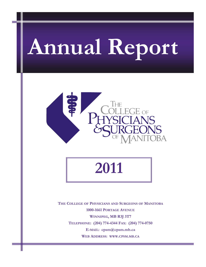# **Annual Report**



**2011** 

**THE COLLEGE OF PHYSICIANS AND SURGEONS OF MANITOBA 1000-1661 PORTAGE AVENUE WINNIPEG, MB R3J 3T7 TELEPHONE: (204) 774-4344 FAX: (204) 774-0750 E-MAIL: cpsm@cpsm.mb.ca WEB ADDRESS: WWW.CPSM.MB.CA**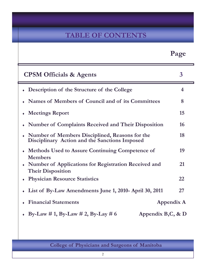# **TABLE OF CONTENTS**

z

|                                                                                                   | Page           |
|---------------------------------------------------------------------------------------------------|----------------|
| <b>CPSM Officials &amp; Agents</b>                                                                | $\overline{3}$ |
| • Description of the Structure of the College                                                     | 4              |
| Names of Members of Council and of its Committees                                                 | 8              |
| <b>Meetings Report</b>                                                                            | 15             |
| <b>Number of Complaints Received and Their Disposition</b>                                        | 16             |
| • Number of Members Disciplined, Reasons for the<br>Disciplinary Action and the Sanctions Imposed | 18             |
| <b>Methods Used to Assure Continuing Competence of</b><br><b>Members</b>                          | 19             |
| • Number of Applications for Registration Received and<br><b>Their Disposition</b>                | 21             |
| <b>Physician Resource Statistics</b>                                                              | 22             |
| List of By-Law Amendments June 1, 2010- April 30, 2011                                            | 27             |
| <b>Financial Statements</b>                                                                       | Appendix A     |
| • By-Law # 1, By-Law # 2, By-Lay # 6<br>Appendix B,C, & D                                         |                |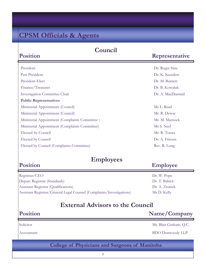# **CPSM Officials & Agents**

### **Council**

### **Representative**

| President                                      | Dr. Roger Süss    |
|------------------------------------------------|-------------------|
| Past President                                 | Dr. K. Saunders   |
| President-Elect                                | Dr. M. Burnett    |
| Finance/Treasurer                              | Dr. B. Kowaluk    |
| <b>Investigation Committee Chair</b>           | Dr. A. MacDiarmid |
| <b>Public Representatives</b>                  |                   |
| Ministerial Appointment (Council)              | Ms L. Read        |
| Ministerial Appointment (Council)              | Mr. R. Dewar      |
| Ministerial Appointment (Complaints Committee) | Mr. M. Marnock    |
| Ministerial Appointment (Complaints Committee) | Ms S. Neel        |
| Elected by Council                             | Mr. R. Toews      |
| Elected by Council                             | Dr. A. Friesen    |
| Elected by Council (Complaints Committee)      | Rev. R. Long      |

### **Employees**

### **Employee**

| Registrar/CEO                                                         | Dr. W. Pope   |
|-----------------------------------------------------------------------|---------------|
| Deputy Registrar (Standards)                                          | Dr. T. Babick |
| Assistant Registrar (Qualifications)                                  | Dr. A. Ziomek |
| Assistant Registrar/General Legal Counsel (Complaints/Investigations) | Ms D. Kelly   |

### **External Advisors to the Council**

### **Position**

**Position** 

**Position** 

**Name/Company** 

Solicitor Mr. Blair Graham, Q.C.

Accountant BDO Dunwoody LLP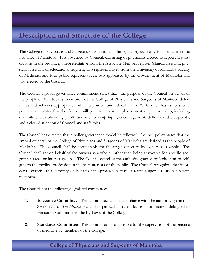# **Description and Structure of the College**

The College of Physicians and Surgeons of Manitoba is the regulatory authority for medicine in the Province of Manitoba. It is governed by Council, consisting of physicians elected to represent jurisdictions in the province, a representative from the Associate Member register (clinical assistant, physician assistant or educational register), two representatives from the University of Manitoba Faculty of Medicine, and four public representatives, two appointed by the Government of Manitoba and two elected by the Council.

The Council's global governance commitment states that "the purpose of the Council on behalf of the people of Manitoba is to ensure that the College of Physicians and Surgeons of Manitoba determines and achieves appropriate ends in a prudent and ethical manner". Council has established a policy which states that the Council will govern with an emphasis on strategic leadership, including commitment to obtaining public and membership input, encouragement, delivery and viewpoints, and a clear distinction of Council and staff roles.

The Council has directed that a policy governance model be followed. Council policy states that the "moral owners" of the College of Physicians and Surgeons of Manitoba are defined as the people of Manitoba. The Council shall be accountable for the organization to its owners as a whole. The Council shall act on behalf of the owners as a whole, rather than being advocates for specific geographic areas or interest groups. The Council exercises the authority granted by legislation to selfgovern the medical profession in the best interests of the public. The Council recognizes that in order to exercise this authority on behalf of the profession, it must retain a special relationship with members.

The Council has the following legislated committees:

- **1. Executive Committee**: This committee acts in accordance with the authority granted in Section 35 of *The Medical Act* and in particular makes decisions on matters delegated to Executive Committee in the By-Laws of the College.
- **2. Standards Committee**: This committee is responsible for the supervision of the practice of medicine by members of the College.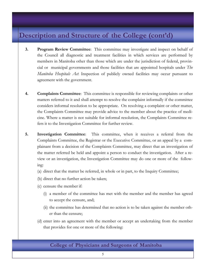# **Description and Structure of the College (cont'd)**

- **3. Program Review Committee**: This committee may investigate and inspect on behalf of the Council all diagnostic and treatment facilities in which services are performed by members in Manitoba other than those which are under the jurisdiction of federal, provincial or municipal governments and those facilities that are appointed hospitals under *The Manitoba Hospitals Act*. Inspection of publicly owned facilities may occur pursuant to agreement with the government.
- **4. Complaints Committee**: This committee is responsible for reviewing complaints or other matters referred to it and shall attempt to resolve the complaint informally if the committee considers informal resolution to be appropriate. On resolving a complaint or other matter, the Complaints Committee may provide advice to the member about the practice of medicine. Where a matter is not suitable for informal resolution, the Complaints Committee refers it to the Investigation Committee for further review.
- **5. Investigation Committee**: This committee, when it receives a referral from the Complaints Committee, the Registrar or the Executive Committee, or an appeal by a complainant from a decision of the Complaints Committee, may direct that an investigation of the matter referred be held and appoint a person to conduct the investigation. After a review or an investigation, the Investigation Committee may do one or more of the following:
	- (a) direct that the matter be referred, in whole or in part, to the Inquiry Committee;
	- (b) direct that no further action be taken;
	- (c) censure the member if:
		- (i) a member of the committee has met with the member and the member has agreed to accept the censure, and;
		- (ii) the committee has determined that no action is to be taken against the member other than the censure;
	- (d) enter into an agreement with the member or accept an undertaking from the member that provides for one or more of the following: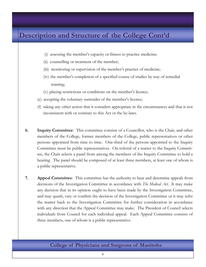# **Description and Structure of the College Cont'd**

- (i) assessing the member's capacity or fitness to practice medicine;
- (ii) counselling or treatment of the member;
- (iii) monitoring or supervision of the member's practice of medicine;
- (iv) the member's completion of a specified course of studies by way of remedial training;
- (v) placing restrictions or conditions on the member's licence;
- (e) accepting the voluntary surrender of the member's licence;
- (f) taking any other action that it considers appropriate in the circumstances and that is not inconsistent with or contrary to this Act or the by-laws.
- **6. Inquiry Committee**: This committee consists of a Councillor, who is the Chair, and other members of the College, former members of the College, public representatives or other persons appointed from time to time. One-third of the persons appointed to the Inquiry Committee must be public representatives. On referral of a matter to the Inquiry Committee, the Chair selects a panel from among the members of the Inquiry Committee to hold a hearing. The panel should be composed of at least three members, at least one of whom is a public representative.
- **7. Appeal Committee**: This committee has the authority to hear and determine appeals from decisions of the Investigation Committee in accordance with *The Medical Act.* It may make any decision that in its opinion ought to have been made by the Investigation Committee, and may quash, vary or confirm the decision of the Investigation Committee or it may refer the matter back to the Investigation Committee for further consideration in accordance with any direction that the Appeal Committee may make. The President of Council selects individuals from Council for each individual appeal. Each Appeal Committee consists of three members, one of whom is a public representative.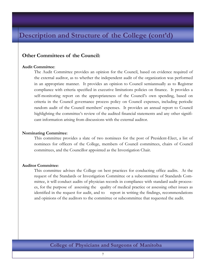# **Description and Structure of the College (cont'd)**

### **Other Committees of the Council:**

### **Audit Committee**:

 The Audit Committee provides an opinion for the Council, based on evidence required of the external auditor, as to whether the independent audit of the organization was performed in an appropriate manner. It provides an opinion to Council semiannually as to Registrar compliance with criteria specified in executive limitations policies on finance. It provides a self-monitoring report on the appropriateness of the Council's own spending, based on criteria in the Council governance process policy on Council expenses, including periodic random audit of the Council members' expenses. It provides an annual report to Council highlighting the committee's review of the audited financial statements and any other significant information arising from discussions with the external auditor.

### **Nominating Committee**:

This committee provides a slate of two nominees for the post of President-Elect, a list of nominees for officers of the College, members of Council committees, chairs of Council committees, and the Councillor appointed as the Investigation Chair.

### **Auditor Committee**:

This committee advises the College on best practices for conducting office audits. At the request of the Standards or Investigation Committee or a subcommittee of Standards Committee, it will conduct audits of physician records in compliance with standard audit processes, for the purpose of assessing the quality of medical practice or assessing other issues as identified in the request for audit, and to report in writing the findings, recommendations and opinions of the auditors to the committee or subcommittee that requested the audit.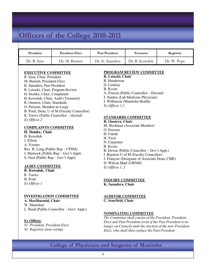# **Officers of the College 2010-2011**

| President   | <b>President-Elect</b> | <b>Past President</b> | <b>Treasurer</b> | Registrar   |
|-------------|------------------------|-----------------------|------------------|-------------|
| Dr. R. Süss | Dr. M. Burnett         | Dr. K. Saunders       | Dr. B. Kowaluk   | Dr. W. Pope |

#### **EXECUTIVE COMMITTEE**

- R. Suss, Chair, President M. Burnett, President-Elect K. Saunders, Past President R. Lotocki, Chair, Program Review H. Domke, Chair, Complaints B. Kowaluk, Chair, Audit (Treasurer) R. Onotera, Chair, Standards O. Persson, Member-at-Large B. Postl, Dean, U of M (Faculty Councillor) R. Toews (Public Councillor – elected) *Ex Officio 2* **COMPLAINTS COMMITTEE**
- **H. Domke, Chair**
- B. Kowaluk J. Elliott A. Vorster Rev. R. Long (Public Rep – CPSM) J. Marnock (Public Rep – Gov't Appt) S. Neel (Public Rep – Gov't Appt)

#### **AUDIT COMMITTEE**

**B. Kowaluk, Chair**  R. Toews B. Postl *Ex Officio 1* 

#### **INVESTIGATION COMMITTEE**

**A. MacDiarmid, Chair**  W. Manishen L. Read (Public Councillor – Govt. Appt.)

#### **Ex Officio:**

*#1 President, President-Elect #2 Registrar (non-voting)* 

### **PROGRAM REVIEW COMMITTEE**

- **R. Lotocki, Chair**
- B. Henderson
- D. Lindsay
- B. Kvern
- A. Friesen (Public Councillor Elected)
- J. Naidoo (Lab Medicine Physician)
- I. Wilkinson (Manitoba Health)

*Ex Officio 1,2*

#### **STANDARDS COMMITTEE**

### **R. Onotera, Chair**

- M. Hochman (Associate Member)
- O. Persson
- H. Unruh
- H. Tassi
- N. Carpenter
- B. Kvern
- R. Dewar (Public Councillor Gov't Appt.)
- I. Ripstein U of M (Faculty Councillor)
- J. François (Designate of Associate Dean, CME)
- D. Wilson Maté (CRNM)
- *Ex Officio 1, 2*

#### **INQUIRY COMMITTEE**

**K. Saunders, Chair** 

### **AUDITOR COMMITTEE**

**C. Scurfield, Chair** 

#### **NOMINATING COMMITTEE**

*The Committee shall consist of the President, President-Elect and Past President (even if the Past President is no longer on Council) until the election of the new President-Elect, who shall then replace the Past President*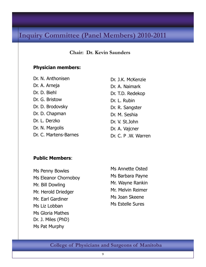# **Inquiry Committee (Panel Members) 2010-2011**

### **Chair: Dr. Kevin Saunders**

### **Physician members:**

Dr. N. Anthonisen Dr. A. Arneja Dr. D. Biehl Dr. G. Bristow Dr. D. Brodovsky Dr. D. Chapman Dr. L. Derzko Dr. N. Margolis Dr. C. Martens-Barnes

Dr. J.K. McKenzie Dr. A. Naimark Dr. T.D. Redekop Dr. L. Rubin Dr. R. Sangster Dr. M. Seshia Dr. V. St.John Dr. A. Vajcner Dr. C. P .W. Warren

### **Public Members**:

Ms Penny Bowles Ms Eleanor Chornoboy Mr. Bill Dowling Mr. Herold Driedger Mr. Earl Gardiner Ms Liz Lobban Ms Gloria Mathes Dr. J. Miles (PhD) Ms Pat Murphy

Ms Annette Osted Ms Barbara Payne Mr. Wayne Rankin Mr. Melvin Reimer Ms Joan Skeene Ms Estelle Sures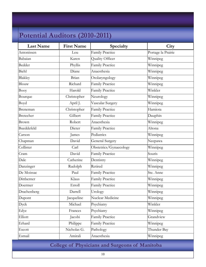# **Potential Auditors (2010-2011)**

| <b>Last Name</b> | <b>First Name</b> | Specialty              | City               |
|------------------|-------------------|------------------------|--------------------|
| Antonissen       | Lou               | Family Practice        | Portage la Prairie |
| Babaian          | Karen             | Quality Officer        | Winnipeg           |
| Bedder           | Phyllis           | <b>Family Practice</b> | Winnipeg           |
| Biehl            | Diane             | Anaesthesia            | Winnipeg           |
| Blakley          | Brian             | Otolaryngology         | Winnipeg           |
| Blouw            | Richard           | <b>Family Practice</b> | Winnipeg           |
| Booy             | Harold            | Family Practice        | Winkler            |
| Bourque          | Christopher       | Neurology              | Winnipeg           |
| Boyd             | April J.          | Vascular Surgery       | Winnipeg           |
| Breneman         | Christopher       | <b>Family Practice</b> | Hamiota            |
| <b>Bretecher</b> | Gilbert           | <b>Family Practice</b> | Dauphin            |
| Brown            | Robert            | Anaesthesia            | Winnipeg           |
| Bueddefeld       | Dieter            | <b>Family Practice</b> | Altona             |
| Carson           | James             | Pediatrics             | Winnipeg           |
| Chapman          | David             | <b>General Surgery</b> | Neepawa            |
| Collister        | Carl              | Obstetrics/Gynaecology | Winnipeg           |
| Cram             | David             | Family Practice        | Souris             |
| Dale             | Catherine         | Dentistry              | Winnipeg           |
| Danzinger        | Rudolph           | Retired                | Winnipeg           |
| De Moissac       | Paul              | Family Practice        | Ste. Anne          |
| Dittberner       | Klaus             | Family Practice        | Winnipeg           |
| Doermer          | Erroll            | <b>Family Practice</b> | Winnipeg           |
| Drachenberg      | Darrell           | Urology                | Winnipeg           |
| Dupont           | Jacqueline        | Nuclear Medicine       | Winnipeg           |
| Dyck             | Michael           | Psychiatry             | Winkler            |
| Edye             | Frances           | Psychiatry             | Winnipeg           |
| Elliott          | Jacobi            | Family Practice        | Grandview          |
| Erhard           | Philippe          | Family Practice        | Winnipeg           |
| Escott           | Nicholas G.       | Pathology              | Thunder Bay        |
| Esmail           | Amirali           | Anaesthesia            | Winnipeg           |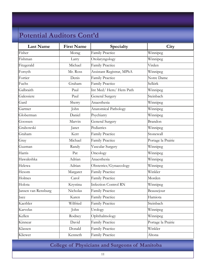| <b>Last Name</b>    | <b>First Name</b> | Specialty                   | City               |
|---------------------|-------------------|-----------------------------|--------------------|
| Fisher              | Morag             | Family Practice             | Winnipeg           |
| Fishman             | Larry             | Otolaryngology              | Winnipeg           |
| Fitzgerald          | Michael           | Family Practice             | Virden             |
| Forsyth             | Mr. Ross          | Assistant Registrar, MPhA   | Winnipeg           |
| Fortier             | Denis             | Family Practice             | Notre Dame         |
| Fuchs               | Graham            | Family Practice             | Selkirk            |
| Galbraith           | Paul              | Int Med/Hem/Hem Path        | Winnipeg           |
| Galessiere          | Paul              | <b>General Surgery</b>      | Steinbach          |
| Gard                | Sherry            | Anaesthesia                 | Winnipeg           |
| Gartner             | John              | Anatomical Pathology        | Winnipeg           |
| Globerman           | Daniel            | Psychiatry                  | Winnipeg           |
| Goossen             | Marvin            | <b>General Surgery</b>      | Brandon            |
| Grabowski           | Janet             | Pediatrics                  | Winnipeg           |
| Graham              | Kerr              | Family Practice             | Stonewall          |
| Gray                | Michael           | <b>Family Practice</b>      | Portage la Prairie |
| Guzman              | Randy             | Vascular Surgery            | Winnipeg           |
| Harris              | Pat               | Oncology                    | Winnipeg           |
| Hawaleshka          | Adrian            | Anaesthesia                 | Winnipeg           |
| Helewa              | Adrian            | Obstetrics/Gynaecology      | Winnipeg           |
| Hesom               | Margaret          | Family Practice             | Winkler            |
| Holmes              | Carol             | Family Practice             | Morden             |
| Holota              | Krystina          | <b>Infection Control RN</b> | Winnipeg           |
| Jansen van Rensburg | Nicholas          | <b>Family Practice</b>      | Beausejour         |
| Juce                | Karen             | <b>Family Practice</b>      | Hamiota            |
| Kaethler            | Wilfried          | <b>Family Practice</b>      | Steinbach          |
| Karvelas            | John              | Urology                     | Winnipeg           |
| Kellen              | Rodney            | Ophthalmology               | Winnipeg           |
| Kinnear             | David             | Family Practice             | Portage la Prairie |
| Klassen             | Donald            | Family Practice             | Winkler            |
| Kliewer             | Kenneth           | Family Practice             | Altona             |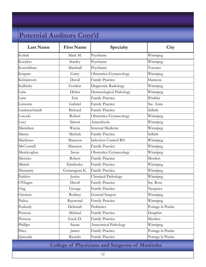| <b>Last Name</b> | <b>First Name</b> | Specialty                   | City               |
|------------------|-------------------|-----------------------------|--------------------|
| Koltek           | Mark M.           | Psychiatry                  | Winnipeg           |
| Koodoo           | Stanley           | Psychiatry                  | Winnipeg           |
| Korenblum        | Marshall          | Psychiatry                  | Toronto            |
| Krepart          | Garry             | Obstetrics/Gynaecology      | Winnipeg           |
| Kristjanson      | David             | Family Practice             | Hamiota            |
| Kulbisky         | Gordon            | Diagnostic Radiology        | Winnipeg           |
| Lane             | Debra             | Hematological Pathology     | Winnipeg           |
| Lane             | Eric              | Family Practice             | Winkler            |
| Lemoine          | Gabriel           | <b>Family Practice</b>      | Ste. Anne          |
| Lindenschmidt    | Richard           | Family Practice             | Selkirk            |
| Lotocki          | Robert            | Obstetrics/Gynaecology      | Winnipeg           |
| Lucy             | Simon             | Anaesthesia                 | Winnipeg           |
| Manishen         | Wayne             | <b>Internal Medicine</b>    | Winnipeg           |
| Matter           | Michele           | Family Practice             | Selkirk            |
| <b>Matthews</b>  | Maureen           | <b>Infection Control RN</b> | Winnipeg           |
| McConnell        | Maureen           | Family Practice             | Winnipeg           |
| Menticoglou      | Savas             | Obstetrics/Gynaecology      | Winnipeg           |
| Menzies          | Robert            | Family Practice             | Morden             |
| Minish           | Kimberley         | <b>Family Practice</b>      | Winnipeg           |
| Munsamy          | Gonasagran K.     | <b>Family Practice</b>      | Winnipeg           |
| Naidoo           | Jenisa            | Chemical Pathology          | Winnipeg           |
| O'Hagan          | David             | Family Practice             | Ste. Rose          |
| Ong              | George            | Family Practice             | Neepawa            |
| Onotera          | Rodney            | <b>General Surgery</b>      | Winnipeg           |
| Padua            | Raymond           | Family Practice             | Winnipeg           |
| Peabody          | Deborah           | Pediatrics                  | Portage la Prairie |
| Penrose          | Michael           | Family Practice             | Dauphin            |
| Persson          | Enok D.           | Family Practice             | Morden             |
| Phillips         | Susan             | Anatomical Pathology        | Winnipeg           |
| Price            | James             | Family Practice             | Portage la Prairie |
| Quesada          | Ricardo           | Family Practice             | Portage la Prairie |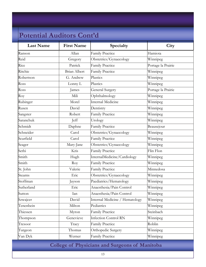| <b>Last Name</b> | <b>First Name</b>   | Specialty                      | City               |
|------------------|---------------------|--------------------------------|--------------------|
| Ranson           | Allan               | Family Practice                | Hamiota            |
| Reid             | Gregory             | Obstetrics/Gynaecology         | Winnipeg           |
| Rice             | Patrick             | Family Practice                | Portage la Prairie |
| Ritchie          | <b>Brian Albert</b> | Family Practice                | Winnipeg           |
| Robertson        | G. Andrew           | Plastics                       | Winnipeg           |
| Ross             | Lonny L             | Plastics                       | Winnipeg           |
| Ross             | James               | <b>General Surgery</b>         | Portage la Prairie |
| Roy              | Mili                | Ophthalmology                  | Winnipeg           |
| Rubinger         | Morel               | <b>Internal Medicine</b>       | Winnipeg           |
| Rusen            | David               | Dentistry                      | Winnipeg           |
| Sangster         | Robert              | Family Practice                | Winnipeg           |
| Saranchuk        | Jeff                | Urology                        | Winnipeg           |
| Schmidt          | Daphne              | Family Practice                | Beausejour         |
| Schneider        | Carol               | Obstetrics/Gynaecology         | Winnipeg           |
| Scurfield        | Carol               | Family Practice                | Winnipeg           |
| Seager           | Mary-Jane           | Obstetrics/Gynaecology         | Winnipeg           |
| Sethi            | Kris                | Family Practice                | Flin Flon          |
| Smith            | Hugh                | InternalMedicine/Cardiology    | Winnipeg           |
| Smith            | Roy                 | Family Practice                | Winnipeg           |
| St. John         | Valerie             | Family Practice                | Minnedosa          |
| Stearns          | Eric                | Obstetrics/Gynaecology         | Winnipeg           |
| Stoffman         | Jayson              | Paediatrics/Hematology         | Winnipeg           |
| Sutherland       | Eric                | Anaesthesia/Pain Control       | Winnipeg           |
| Sutton           | Ian                 | Anaesthesia/Pain Control       | Winnipeg           |
| Szwajcer         | David               | Internal Medicine / Hematology | Winnipeg           |
| Tenenbein        | Milton              | Pediatrics                     | Winnipeg           |
| Thiessen         | Myron               | Family Practice                | Steinbach          |
| Thompson         | Genevieve           | <b>Infection Control RN</b>    | Winnipeg           |
| Tresoor          | Tracy               | <b>Family Practice</b>         | Roblin             |
| Turgeon          | Thomas              | Orthopedic Surgery             | Winnipeg           |
| Van Dyk          | Werner              | <b>Family Practice</b>         | Winnipeg           |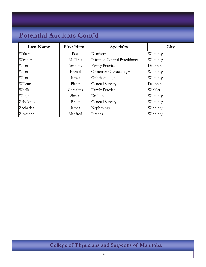| <b>Last Name</b> | <b>First Name</b> | Specialty                      | City     |
|------------------|-------------------|--------------------------------|----------|
| Walton           | Paul              | Dentistry                      | Winnipeg |
| Warmer           | Ms Ilana          | Infection Control Practitioner | Winnipeg |
| Wiens            | Anthony           | <b>Family Practice</b>         | Dauphin  |
| Wiens            | Harold            | Obstetrics/Gynaecology         | Winnipeg |
| Wiens            | James             | Ophthalmology                  | Winnipeg |
| Willemse         | Pieter            | <b>General Surgery</b>         | Dauphin  |
| Woelk            | Cornelius         | <b>Family Practice</b>         | Winkler  |
| Wong             | Simon             | Urology                        | Winnipeg |
| Zabolotny        | <b>Brent</b>      | General Surgery                | Winnipeg |
| Zacharias        | James             | Nephrology                     | Winnipeg |
| Ziesmann         | Manfred           | Plastics                       | Winnipeg |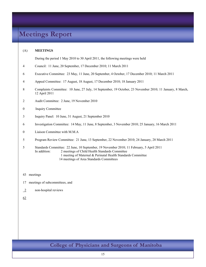# **Meetings Report**

#### (A) **MEETINGS**

During the period 1 May 2010 to 30 April 2011, the following meetings were held

- 4 Council: 11 June, 20 September, 17 December 2010; 11 March 2011
- 6 Executive Committee: 23 May, 11 June, 20 September, 4 October, 17 December 2010; 11 March 2011
- 4 Appeal Committee: 17 August, 18 August, 17 December 2010; 18 January 2011
- 8 Complaints Committee: 10 June, 27 July, 14 September, 19 October, 23 November 2010; 11 January, 8 March, 12 April 2011
- 2 Audit Committee: 2 June, 19 November 2010
- 0 Inquiry Committee
- 3 Inquiry Panel: 10 June, 31 August, 21 September 2010
- 6 Investigation Committee: 14 May, 11 June, 8 September, 3 November 2010; 25 January, 16 March 2011
- 0 Liaison Committee with M.M.A
- 5 Program Review Committee: 21 June, 13 September, 22 November 2010; 24 January, 28 March 2011
- 5 Standards Committee: 22 June, 10 September, 19 November 2010; 11 February, 5 April 2011 In addition: 2 meetings of Child Health Standards Committee 1 meeting of Maternal & Perinatal Health Standards Committee 14 meetings of Area Standards Committees
- 43 meetings
- 17 meetings of subcommittees, and
- 2 non-hospital reviews
- 62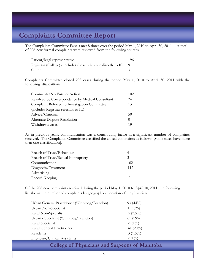# **Complaints Committee Report**

The Complaints Committee Panels met 8 times over the period May 1, 2010 to April 30, 2011. A total of 208 new formal complaints were reviewed from the following sources:

| Patient/legal representative                                  | 196. |
|---------------------------------------------------------------|------|
| Registrar (College) - includes those reference directly to IC |      |
| Other                                                         |      |

 Complaints Committee closed 208 cases during the period May 1, 2010 to April 30, 2011 with the following dispositions:

| Comments/No Further Action                       | 102 |
|--------------------------------------------------|-----|
| Resolved by Correspondence by Medical Consultant | 24  |
| Complaint Referred to Investigation Committee    | 13  |
| (includes Registrar referrals to IC)             |     |
| Advice/Criticism                                 | 50  |
| Alternate Dispute Resolution                     |     |
| Withdrawn cases                                  |     |

As in previous years, communication was a contributing factor in a significant number of complaints received. The Complaints Committee classified the closed complaints as follows: [Some cases have more than one classification].

| Breach of Trust/Behaviour          |                             |
|------------------------------------|-----------------------------|
| Breach of Trust/Sexual Impropriety | $\mathcal{R}_{\mathcal{A}}$ |
| Communication                      | 102                         |
| Diagnosis/Treatment                | 112                         |
| Advertising                        |                             |
| Record Keeping                     |                             |

 Of the 208 new complaints received during the period May 1, 2010 to April 30, 2011, the following list shows the number of complaints by geographical location of the physician:

| Urban General Practitioner (Winnipeg/Brandon) | $93(44\%)$  |
|-----------------------------------------------|-------------|
| Urban Non-Specialist                          | 1 $(.5\%)$  |
| Rural Non-Specialist                          | $5(2.5\%)$  |
| Urban - Specialist (Winnipeg/Brandon)         | 61 $(29\%)$ |
| Rural Specialist                              | 2 $(1\%)$   |
| Rural General Practitioner                    | 41 $(20\%)$ |
| Residents                                     | $3(1.5\%)$  |
| Physician/Clinical Assistants                 | $2(1\%)$    |
|                                               |             |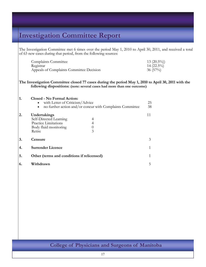# **Investigation Committee Report**

The Investigation Committee met 6 times over the period May 1, 2010 to April 30, 2011, and received a total of 63 new cases during that period, from the following sources:

| <b>Complaints Committee</b>              | $13(20.5\%)$ |
|------------------------------------------|--------------|
| Registrar                                | $14(22.5\%)$ |
| Appeals of Complaints Committee Decision | $36(57\%)$   |

**The Investigation Committee closed 77 cases during the period May 1, 2010 to April 30, 2011 with the following dispositions: (note: several cases had more than one outcome)**

| 1. | <b>Closed - No Formal Action:</b><br>• with Letter of Criticism/Advice<br>no further action and/or concur with Complaints Committee | 25<br>38 |
|----|-------------------------------------------------------------------------------------------------------------------------------------|----------|
| 2. | Undertakings<br>Self-Directed Learning<br>Practice Limitations<br>Body fluid monitoring<br>3<br>Retire                              | 11       |
| 3. | Censure                                                                                                                             | 3        |
| 4. | <b>Surrender Licence</b>                                                                                                            |          |
| 5. | Other (terms and conditions if relicensed)                                                                                          |          |
| 6. | Withdrawn                                                                                                                           | 5        |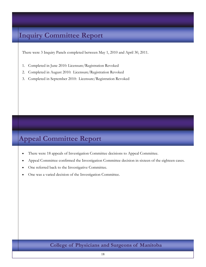# **Inquiry Committee Report**

There were 3 Inquiry Panels completed between May 1, 2010 and April 30, 2011.

- 1. Completed in June 2010: Licensure/Registration Revoked
- 2. Completed in August 2010: Licensure/Registration Revoked
- 3. Completed in September 2010: Licensure/Registration Revoked

# **Appeal Committee Report**

- There were 18 appeals of Investigation Committee decisions to Appeal Committee.
- Appeal Committee confirmed the Investigation Committee decision in sixteen of the eighteen cases.
- One referred back to the Investigative Committee.
- One was a varied decision of the Investigation Committee.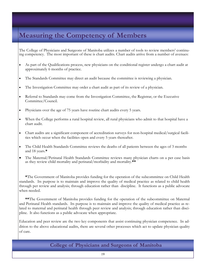# **Measuring the Competency of Members**

The College of Physicians and Surgeons of Manitoba utilizes a number of tools to review members' continuing competency. The most important of these is chart audits. Chart audits arrive from a number of avenues:

- As part of the Qualifications process, new physicians on the conditional register undergo a chart audit at approximately 6 months of practice.
- The Standards Committee may direct an audit because the committee is reviewing a physician.
- The Investigation Committee may order a chart audit as part of its review of a physician.
- Referral to Standards may come from the Investigation Committee, the Registrar, or the Executive Committee/Council.
- Physicians over the age of 75 years have routine chart audits every 5 years.
- When the College performs a rural hospital review, all rural physicians who admit to that hospital have a chart audit.
- Chart audits are a significant component of accreditation surveys for non-hospital medical/surgical facilities which occur when the facilities open and every 5 years thereafter.
- The Child Health Standards Committee reviews the deaths of all patients between the ages of 3 months and 18 years.**\***
- The Maternal/Perinatal Health Standards Committee reviews many physician charts on a per case basis as they review child mortality and perinatal/morbidity and mortality.**\*\***

 **\***The Government of Manitoba provides funding for the operation of the subcommittee on Child Health standards. Its purpose is to maintain and improve the quality of medical practice as related to child health through per review and analysis; through education rather than discipline. It functions as a public advocate when needed.

**\*\***The Government of Manitoba provides funding for the operation of the subcommittee on Maternal and Perinatal Health standards. Its purpose is to maintain and improve the quality of medical practice as related to maternal and perinatal health through peer review and analysis; through education rather than discipline. It also functions as a public advocate when appropriate.

Education and peer review are the two key components that assist continuing physician competence. In addition to the above educational audits, there are several other processes which act to update physician quality of care.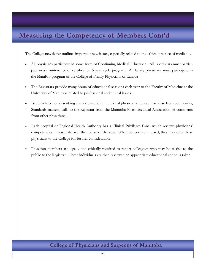# **Measuring the Competency of Members Cont'd**

The College newsletter outlines important new issues, especially related to the ethical practice of medicine.

- All physicians participate in some form of Continuing Medical Education. All specialists must participate in a maintenance of certification 5 year cycle program. All family physicians must participate in the MainPro program of the College of Family Physicians of Canada
- The Registrars provide many hours of educational sessions each year to the Faculty of Medicine at the University of Manitoba related to professional and ethical issues.
- Issues related to prescribing are reviewed with individual physicians. These may arise from complaints, Standards matters, calls to the Registrar from the Manitoba Pharmaceutical Association or comments from other physicians.
- Each hospital or Regional Health Authority has a Clinical Privileges Panel which reviews physicians' competencies in hospitals over the course of the year. When concerns are raised, they may refer these physicians to the College for further consideration.
- Physician members are legally and ethically required to report colleagues who may be at risk to the public to the Registrar. These individuals are then reviewed an appropriate educational action is taken.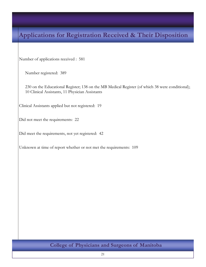# **Applications for Registration Received & Their Disposition**

Number of applications received : 581

Number registered: 389

230 on the Educational Register; 138 on the MB Medical Register (of which 38 were conditional); 10 Clinical Assistants, 11 Physician Assistants

Clinical Assistants applied but not registered: 19

Did not meet the requirements: 22

Did meet the requirements, not yet registered: 42

Unknown at time of report whether or not met the requirements: 109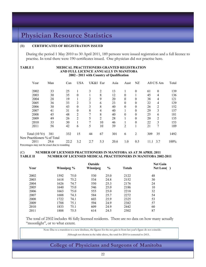# **Physician Resource Statistics**

#### (B) **CERTIFICATES OF REGISTRATION ISSUED**

During the period 1 May 2010 to 30 April 2011, 189 persons were issued registration and a full licence to practise. In total there were 190 certificates issued. One physician did not practise here.

#### **TABLE I MEDICAL PRACTITIONERS GRANTED REGISTRATION AND FULL LICENCE ANNUALLY IN MANITOBA 2002 - 2011 with Country of Qualification**

| Year                                        | Man  | Can  | <b>USA</b>     | UK&I | Eur | Asia | Aust     | NZ           |      | $Aff C/S$ Am | Total |
|---------------------------------------------|------|------|----------------|------|-----|------|----------|--------------|------|--------------|-------|
| 2002                                        | 33   | 25   |                | 3    | 2   | 13   |          | $\theta$     | 61   | $\theta$     | 139   |
| 2003                                        | 30   | 35   | $\Omega$       |      | 8   | 12   | $\theta$ |              | 45   | 4            | 136   |
| 2004                                        | 28   | 19   |                | 2    | 9   | 20   | $\theta$ | $\theta$     | 38   | 4            | 121   |
| 2005                                        | 36   | 33   | 2              | 3    | 6   | 23   | $\theta$ | $\mathbf{0}$ | 22   | 4            | 129   |
| 2006                                        | 30   | 43   | $\theta$       | 3    | 8   | 40   | $\theta$ | $\theta$     | 26   | 2            | 152   |
| 2007                                        | 41   | 31   | $\Omega$       | 8    | 4   | 40   |          | $\theta$     | 29   | 3            | 157   |
| 2008                                        | 45   | 48   | $\overline{2}$ | 7    | 8   | 40   | $\theta$ | $\theta$     | 25   | 6            | 181   |
| 2009                                        | 49   | 26   | $\overline{2}$ | 5    | 2   | 28   |          | $\theta$     | 20   | 2            | 135   |
| 2010                                        | 33   | 30   |                | 7    | 10  | 46   |          | $\Omega$     | 22   | 3            | 153   |
| 2011                                        | 56   | 42   | 6              | 5    | 10  | 39   | 2        |              | 21   | 7            | 189   |
| Total $(10 \text{ Yr})$                     | 381  | 332  | 15             | 44   | 67  | 301  | 6        | 2            | 309  | 35           | 1492  |
| New Practitioners % of Total                |      |      |                |      |     |      |          |              |      |              |       |
| 2011                                        | 29.6 | 22.2 | 3.2            | 2.7  | 5.3 | 20.6 | 1.0      | 0.5          | 11.1 | 3.7          | 100%  |
| Departages moy not be exect due to reunding |      |      |                |      |     |      |          |              |      |              |       |

Percentages may not be exact due to rounding

#### (C) **NUMBER OF LICENSED PRACTITIONERS IN MANITOBA AS AT 30 APRIL 2011 TABLE II NUMBER OF LICENSED MEDICAL PRACTITIONERS IN MANITOBA 2002-2011**

|      |            |      | Outside  |               |               | <b>Net Gain</b> |
|------|------------|------|----------|---------------|---------------|-----------------|
| Year | Winnipeg % |      | Winnipeg | $\frac{0}{0}$ | <b>Totals</b> | Net Loss()      |
| 2002 | 1592       | 75.0 | 530      | 25.0          | 2122          | 48              |
| 2003 | 1618       | 75.2 | 534      | 24.8          | 2152          | 30              |
| 2004 | 1626       | 74.7 | 550      | 25.3          | 2176          | 24              |
| 2005 | 1640       | 75.0 | 546      | 25.0          | 2186          | 10              |
| 2006 | 1663       | 75.0 | 555      | 25.0          | 2218          | 32              |
| 2007 | 1688       | 74.3 | 584      | 25.7          | 2272          | 54              |
| 2008 | 1722       | 74.1 | 603      | 25.9          | 2325          | 53              |
| 2009 | 1788       | 75.1 | 594      | 24.9          | 2382          | 57              |
| 2010 | 1833       | 75.1 | 609      | 24.9          | 2442          | 60              |
| 2011 | 1888       | 75.5 | 614      | 24.5          | 2502          | 87              |

The total of 2502 includes 46 fully licensed residents. There are no data on how many actually "moonlight", or to what extent.

Note: Due to a transition to a new database, the figures for the net gain in from last year's figure do not coincide.

Although not shown in the table above, the total for 2010 is corrected to 2415.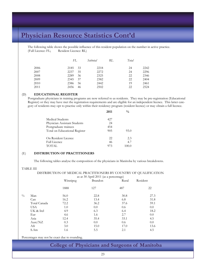The following table shows the possible influence of this resident population on the number in active practice. (Full Licence: FL; Resident Licence: RL)

|      | FL   |    | Subtotal | RL | Total |      |
|------|------|----|----------|----|-------|------|
| 2006 | 2185 | 33 | 2218     |    | 24    | 2242 |
| 2007 | 2237 | 35 | 2272     |    | 24    | 2296 |
| 2008 | 2289 | 36 | 2325     |    | 22    | 2346 |
| 2009 | 2345 | 37 | 2382     |    | 22    | 2404 |
| 2010 | 2386 | 56 | 2442     |    | 19    | 2461 |
| 2011 | 2456 | 46 | 2502     |    | 22    | 2524 |

#### (D) **EDUCATIONAL REGISTER**

Postgraduate physicians in training programs are now referred to as residents. They may be pre-registration (Educational Register) or they may have met the registration requirements and are eligible for an independent licence. This latter category of residents may opt to practise only within their residency program (resident licence) or may obtain a full licence.

|                               | 2011 | $\frac{0}{0}$ |
|-------------------------------|------|---------------|
| Medical Students              | 427  |               |
| Physician Assistant Students  | 24   |               |
| Postgraduate trainees         | 454  |               |
| Total on Educational Register | 905  | 93.0          |
| On Resident Licence           | 22   | 2.3           |
| <b>Full Licence</b>           | 46   | 4.7           |
| <b>TOTAL</b>                  | 973  | 100.0         |

#### (E) **DISTRIBUTION OF PRACTITIONERS**

The following tables analyse the composition of the physicians in Manitoba by various breakdowns.

#### TABLE III

 DISTRIBUTION OF MEDICAL PRACTITIONERS BY COUNTRY OF QUALIFICATION as at 30 April 2011 (as a percentage)

|               |              | as at 50 $\pi$ p $\pi$ 2011 (as a percentage) |         |       |          |
|---------------|--------------|-----------------------------------------------|---------|-------|----------|
|               |              | Winnipeg                                      | Brandon | Rural | Resident |
|               |              | 1888                                          | 127     | 487   | 22       |
| $\frac{0}{0}$ | Man          | 56.0                                          | 22.8    | 30.8  | 27.3     |
|               | Can          | 16.2                                          | 13.4    | 6.8   | 31.8     |
|               | Total Canada | 72.2                                          | 36.2    | 37.6  | 59.1     |
|               | <b>USA</b>   | 1.0                                           | 0.0     | 0.6   | 0.0      |
|               | UK & Irel    | 4.9                                           | 6.3     | 6.4   | 18.2     |
|               | Eur          | 4.6                                           | 1.6     | 2.7   | 0.0      |
|               | Asia         | 12.4                                          | 35.4    | 33.1  | 4.5      |
|               | Aust/NZ      | 0.3                                           | 0.0     | 0.6   | 0.0      |
|               | Afr          | 3.0                                           | 15.0    | 17.0  | 13.6     |
|               | S.Am         | 1.6                                           | 5.5     | 2.1   | 4.5      |

Percentages may not be exact due to rounding.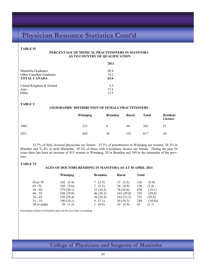#### **TABLE IV**

#### **PERCENTAGE OF MEDICAL PRACTITIONERS IN MANITOBA AS TO COUNTRY OF QUALIFICATION**

|                                 | 2011 |
|---------------------------------|------|
| Manitoba Graduates              | 494  |
| <b>Other Canadian Graduates</b> | 14.2 |
| <b>TOTAL CANADA</b>             | 63.6 |
| United Kingdom & Ireland        | 53   |
| Asia                            | 17.6 |
| Other                           | 13.5 |

#### **TABLE V**

#### **GEOGRAPHIC DISTRIBUTION OF FEMALE PRACTITIONERS**

|      | Winnipeg | <b>Brandon</b> | Rural | <b>Total</b> | <b>Resident</b><br>Licence |
|------|----------|----------------|-------|--------------|----------------------------|
| 1982 | 213      | 8              | 44    | 265          | 51                         |
| 2011 | 628      | 36             | 153   | 817          | 10                         |

32.7% of fully licensed physicians are female. 33.3% of practitioners in Winnipeg are women, 28.3% in Brandon and 31.4% in rural Manitoba. 45.5% of those with a residency licence are female. During the past 29 years there has been an increase of 415 women in Winnipeg, 28 in Brandon and 109 in the remainder of the province.

#### **TABLE VI**

#### **AGES OF DOCTORS RESIDING IN MANITOBA AS AT 30 APRIL 2011**

|             | Winnipeg   | <b>Brandon</b> | Rural      | <b>Total</b> |        |
|-------------|------------|----------------|------------|--------------|--------|
| Over 70     | 102(5.4)   | 7(5.5)         | 17(3.5)    | 126          | (5.0)  |
| $65 - 70$   | 105(5.6)   | 7(5.5)         | 24 (4.9)   | 136          | (5.4)  |
| $56 - 64$   | 379(20.1)  | 21(16.5)       | 78 (16.0)  | 478          | (19.1) |
| $46 - 55$   | 548 (29.0) | 46 (36.2)      | 141 (29.0) | 735          | (29.4) |
| $36 - 45$   | 536 (28.4) | 36(28.3)       | 163 (33.5) | 735          | (29.4) |
| $31 - 35$   | 190(10.1)  | 9(7.1)         | 50(10.3)   | 249          | (10.0) |
| 30 or under | 28 (1.5)   | 1(0.8)         | 14 (2.9)   | 43           | (1.7)  |

Percentages (shown in brackets) may not be exact due to rounding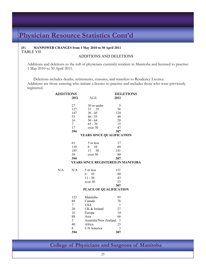# **(F) MANPOWER CHANGES from 1 May 2010 to 30 April 2011**

### ADDITIONS AND DELETIONS

Additions and deletions to the roll of physicians currently resident in Manitoba and licensed to practise: 1 May 2010 to 30 April 2011.

Deletions includes deaths, retirements, erasures, and transfers to Residency Licence. Additions are those entering who initiate a licence to practise and includes those who were previously registered.

| <b>ADDITIONS</b> |                 |                                    | <b>DELETIONS</b> |  |
|------------------|-----------------|------------------------------------|------------------|--|
|                  | 2011            | AGE                                | 2011             |  |
|                  | 27              | 30 or under                        | 5                |  |
|                  | 127             | 31 35                              | 56               |  |
|                  | 147             | $36 - 45$                          | 124              |  |
|                  | 53              | $46 - 55$                          | 40               |  |
|                  | 16              | $56 - 64$                          | 20               |  |
|                  | 7               | $65 - 70$                          | 15               |  |
|                  | 17              | over 70                            | 47               |  |
|                  | 394             |                                    | 307              |  |
|                  |                 | YEARS SINCE QUALIFICATION          |                  |  |
|                  | 61              | 5 or less                          | 17               |  |
|                  | 110             | 10<br>6                            | 69               |  |
|                  | 185             | 11<br>30                           | 141              |  |
|                  | 38              | over 30                            | 80               |  |
|                  | 394             |                                    | 307              |  |
|                  |                 | YEARS SINCE REGISTERED IN MANITOBA |                  |  |
| N/A              | N/A             | 5 or less                          | 151              |  |
|                  |                 | 10<br>6                            | 60               |  |
|                  |                 | $11 - 30$                          | 43               |  |
|                  |                 | over 30                            | 53               |  |
|                  |                 |                                    | 307              |  |
|                  |                 | PLACE OF QUALIFICATION             |                  |  |
|                  |                 |                                    |                  |  |
|                  | 123             | Manitoba                           | 95               |  |
|                  | 89              | Canada                             | 76               |  |
|                  | $7\overline{ }$ | <b>USA</b>                         | $\mathbf{1}$     |  |
|                  | 20              | UK & Ireland                       | 27               |  |
|                  | 16              | Europe                             | 14               |  |
|                  | 88              | Asia                               | 66               |  |
|                  | $\overline{3}$  | Australia/New Zealand              | $\overline{3}$   |  |
|                  | 40              | Africa                             | 23               |  |
|                  | 8               | C/S America                        | $\overline{3}$   |  |
|                  | 394             |                                    | 307              |  |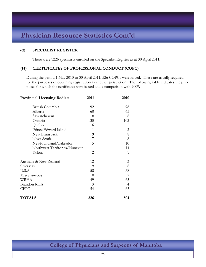### **(G) SPECIALIST REGISTER**

There were 1226 specialists enrolled on the Specialist Register as at 30 April 2011.

### **(H) CERTIFICATES OF PROFESSIONAL CONDUCT (COPC)**

During the period 1 May 2010 to 30 April 2011, 526 COPCs were issued. These are usually required for the purposes of obtaining registration in another jurisdiction. The following table indicates the purposes for which the certificates were issued and a comparison with 2009.

| <b>Provincial Licensing Bodies:</b> | 2011     | 2010           |
|-------------------------------------|----------|----------------|
| British Columbia                    | 92       | 98             |
| Alberta                             | 60       | 65             |
| Saskatchewan                        | 18       | 8              |
| Ontario                             | 130      | 102            |
| Quebec                              | 6        | 5              |
| Prince Edward Island                | 1        | $\overline{2}$ |
| New Brunswick                       | 9        | $8\,$          |
| Nova Scotia                         | 7        | 8              |
| Newfoundland/Labrador               | 5        | 10             |
| Northwest Territories/Nunavut       | 11       | 14             |
| Yukon                               | 2        | 1              |
| Australia & New Zealand             | 12       | 3              |
| Overseas                            | 9        | 8              |
| U.S.A.                              | 58       | 38             |
| Miscellaneous                       | $\Omega$ | 7              |
| WRHA                                | 49       | 65             |
| Brandon RHA                         | 3        | $\overline{4}$ |
| <b>CFPC</b>                         | 54       | 65             |
| <b>TOTALS</b>                       | 526      | 504            |